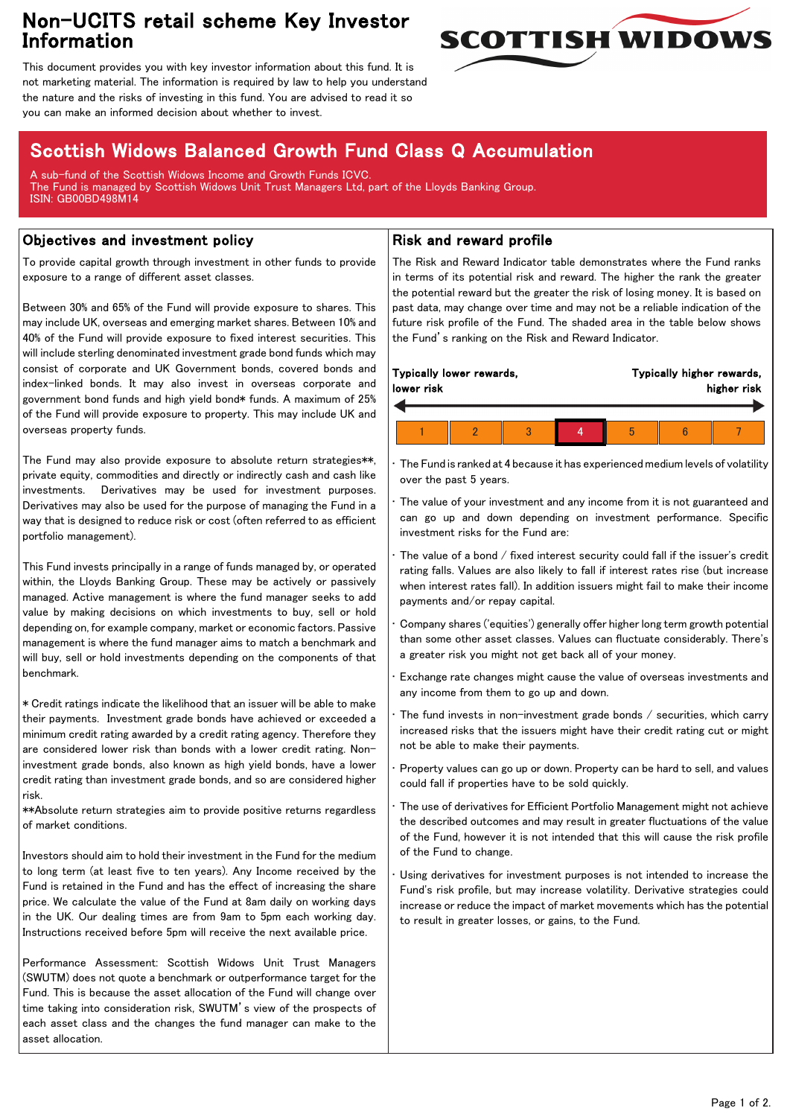## Non-UCITS retail scheme Key Investor Information



This document provides you with key investor information about this fund. It is not marketing material. The information is required by law to help you understand the nature and the risks of investing in this fund. You are advised to read it so you can make an informed decision about whether to invest.

# Scottish Widows Balanced Growth Fund Class Q Accumulation

A sub-fund of the Scottish Widows Income and Growth Funds ICVC. The Fund is managed by Scottish Widows Unit Trust Managers Ltd, part of the Lloyds Banking Group. ISIN: GB00BD498M14

### Objectives and investment policy

To provide capital growth through investment in other funds to provide exposure to a range of different asset classes.

Between 30% and 65% of the Fund will provide exposure to shares. This may include UK, overseas and emerging market shares. Between 10% and 40% of the Fund will provide exposure to fixed interest securities. This will include sterling denominated investment grade bond funds which may consist of corporate and UK Government bonds, covered bonds and index-linked bonds. It may also invest in overseas corporate and government bond funds and high yield bond\* funds. A maximum of 25% of the Fund will provide exposure to property. This may include UK and overseas property funds.

The Fund may also provide exposure to absolute return strategies\*\*, private equity, commodities and directly or indirectly cash and cash like investments. Derivatives may be used for investment purposes. Derivatives may also be used for the purpose of managing the Fund in a way that is designed to reduce risk or cost (often referred to as efficient portfolio management).

This Fund invests principally in a range of funds managed by, or operated within, the Lloyds Banking Group. These may be actively or passively managed. Active management is where the fund manager seeks to add value by making decisions on which investments to buy, sell or hold depending on, for example company, market or economic factors. Passive management is where the fund manager aims to match a benchmark and will buy, sell or hold investments depending on the components of that benchmark.

\* Credit ratings indicate the likelihood that an issuer will be able to make their payments. Investment grade bonds have achieved or exceeded a minimum credit rating awarded by a credit rating agency. Therefore they are considered lower risk than bonds with a lower credit rating. Noninvestment grade bonds, also known as high yield bonds, have a lower credit rating than investment grade bonds, and so are considered higher risk.

\*\*Absolute return strategies aim to provide positive returns regardless of market conditions.

Investors should aim to hold their investment in the Fund for the medium to long term (at least five to ten years). Any Income received by the Fund is retained in the Fund and has the effect of increasing the share price. We calculate the value of the Fund at 8am daily on working days in the UK. Our dealing times are from 9am to 5pm each working day. Instructions received before 5pm will receive the next available price.

Performance Assessment: Scottish Widows Unit Trust Managers (SWUTM) does not quote a benchmark or outperformance target for the Fund. This is because the asset allocation of the Fund will change over time taking into consideration risk, SWUTM's view of the prospects of each asset class and the changes the fund manager can make to the asset allocation.

#### Risk and reward profile

The Risk and Reward Indicator table demonstrates where the Fund ranks in terms of its potential risk and reward. The higher the rank the greater the potential reward but the greater the risk of losing money. It is based on past data, may change over time and may not be a reliable indication of the future risk profile of the Fund. The shaded area in the table below shows the Fund's ranking on the Risk and Reward Indicator.

| Typically lower rewards,<br>lower risk |  |   |  | Typically higher rewards,<br>higher risk |  |  |  |
|----------------------------------------|--|---|--|------------------------------------------|--|--|--|
|                                        |  | h |  |                                          |  |  |  |
|                                        |  |   |  |                                          |  |  |  |

• The Fund is ranked at 4 because it has experienced medium levels of volatility over the past 5 years.

The value of your investment and any income from it is not guaranteed and can go up and down depending on investment performance. Specific investment risks for the Fund are:

• The value of a bond / fixed interest security could fall if the issuer's credit rating falls. Values are also likely to fall if interest rates rise (but increase when interest rates fall). In addition issuers might fail to make their income payments and/or repay capital.

• Company shares ('equities') generally offer higher long term growth potential than some other asset classes. Values can fluctuate considerably. There's a greater risk you might not get back all of your money.

• Exchange rate changes might cause the value of overseas investments and any income from them to go up and down.

The fund invests in non-investment grade bonds  $/$  securities, which carry increased risks that the issuers might have their credit rating cut or might not be able to make their payments.

• Property values can go up or down. Property can be hard to sell, and values could fall if properties have to be sold quickly.

• The use of derivatives for Efficient Portfolio Management might not achieve the described outcomes and may result in greater fluctuations of the value of the Fund, however it is not intended that this will cause the risk profile of the Fund to change.

Using derivatives for investment purposes is not intended to increase the Fund's risk profile, but may increase volatility. Derivative strategies could increase or reduce the impact of market movements which has the potential to result in greater losses, or gains, to the Fund.